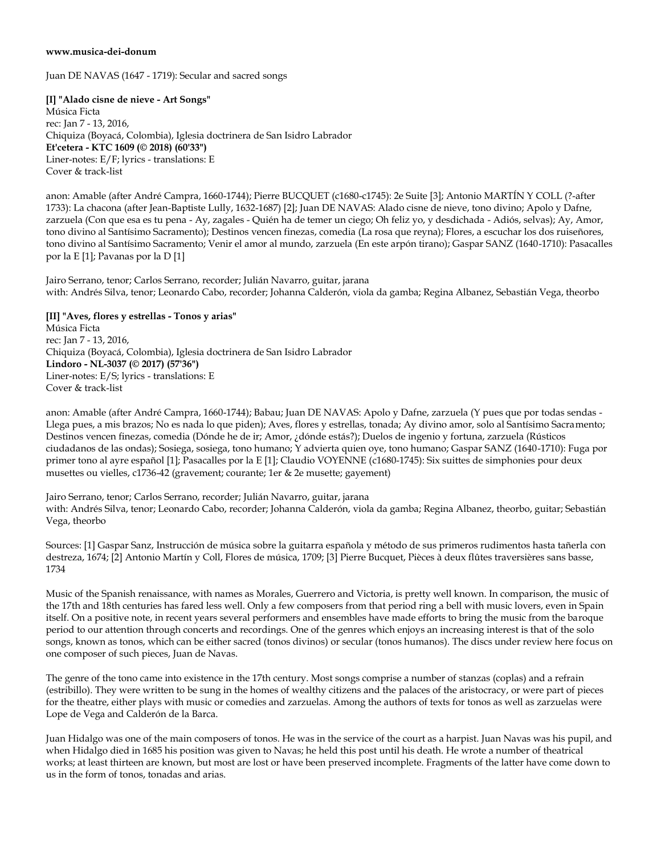## **www.musica-dei-donum**

Juan DE NAVAS (1647 - 1719): Secular and sacred songs

**[I] "Alado cisne de nieve - Art Songs"**  Música Ficta rec: Jan 7 - 13, 2016, Chiquiza (Boyacá, Colombia), Iglesia doctrinera de San Isidro Labrador **Et'cetera - KTC 1609 (© 2018) (60'33")**  Liner-notes: E/F; lyrics - translations: E Cover & track-list

anon: Amable (after André Campra, 1660-1744); Pierre BUCQUET (c1680-c1745): 2e Suite [3]; Antonio MARTÍN Y COLL (?-after 1733): La chacona (after Jean-Baptiste Lully, 1632-1687) [2]; Juan DE NAVAS: Alado cisne de nieve, tono divino; Apolo y Dafne, zarzuela (Con que esa es tu pena - Ay, zagales - Quién ha de temer un ciego; Oh feliz yo, y desdichada - Adiós, selvas); Ay, Amor, tono divino al Santísimo Sacramento); Destinos vencen finezas, comedia (La rosa que reyna); Flores, a escuchar los dos ruiseñores, tono divino al Santísimo Sacramento; Venir el amor al mundo, zarzuela (En este arpón tirano); Gaspar SANZ (1640-1710): Pasacalles por la E [1]; Pavanas por la D [1]

Jairo Serrano, tenor; Carlos Serrano, recorder; Julián Navarro, guitar, jarana with: Andrés Silva, tenor; Leonardo Cabo, recorder; Johanna Calderón, viola da gamba; Regina Albanez, Sebastián Vega, theorbo

**[II] "Aves, flores y estrellas - Tonos y arias"**  Música Ficta rec: Jan 7 - 13, 2016, Chiquiza (Boyacá, Colombia), Iglesia doctrinera de San Isidro Labrador **Lindoro - NL-3037 (© 2017) (57'36")**  Liner-notes: E/S; lyrics - translations: E Cover & track-list

anon: Amable (after André Campra, 1660-1744); Babau; Juan DE NAVAS: Apolo y Dafne, zarzuela (Y pues que por todas sendas - Llega pues, a mis brazos; No es nada lo que piden); Aves, flores y estrellas, tonada; Ay divino amor, solo al Santísimo Sacramento; Destinos vencen finezas, comedia (Dónde he de ir; Amor, ¿dónde estás?); Duelos de ingenio y fortuna, zarzuela (Rústicos ciudadanos de las ondas); Sosiega, sosiega, tono humano; Y advierta quien oye, tono humano; Gaspar SANZ (1640-1710): Fuga por primer tono al ayre español [1]; Pasacalles por la E [1]; Claudio VOYENNE (c1680-1745): Six suittes de simphonies pour deux musettes ou vielles, c1736-42 (gravement; courante; 1er & 2e musette; gayement)

Jairo Serrano, tenor; Carlos Serrano, recorder; Julián Navarro, guitar, jarana with: Andrés Silva, tenor; Leonardo Cabo, recorder; Johanna Calderón, viola da gamba; Regina Albanez, theorbo, guitar; Sebastián Vega, theorbo

Sources: [1] Gaspar Sanz, Instrucción de música sobre la guitarra española y método de sus primeros rudimentos hasta tañerla con destreza, 1674; [2] Antonio Martín y Coll, Flores de música, 1709; [3] Pierre Bucquet, Pièces à deux flûtes traversières sans basse, 1734

Music of the Spanish renaissance, with names as Morales, Guerrero and Victoria, is pretty well known. In comparison, the music of the 17th and 18th centuries has fared less well. Only a few composers from that period ring a bell with music lovers, even in Spain itself. On a positive note, in recent years several performers and ensembles have made efforts to bring the music from the baroque period to our attention through concerts and recordings. One of the genres which enjoys an increasing interest is that of the solo songs, known as tonos, which can be either sacred (tonos divinos) or secular (tonos humanos). The discs under review here focus on one composer of such pieces, Juan de Navas.

The genre of the tono came into existence in the 17th century. Most songs comprise a number of stanzas (coplas) and a refrain (estribillo). They were written to be sung in the homes of wealthy citizens and the palaces of the aristocracy, or were part of pieces for the theatre, either plays with music or comedies and zarzuelas. Among the authors of texts for tonos as well as zarzuelas were Lope de Vega and Calderón de la Barca.

Juan Hidalgo was one of the main composers of tonos. He was in the service of the court as a harpist. Juan Navas was his pupil, and when Hidalgo died in 1685 his position was given to Navas; he held this post until his death. He wrote a number of theatrical works; at least thirteen are known, but most are lost or have been preserved incomplete. Fragments of the latter have come down to us in the form of tonos, tonadas and arias.